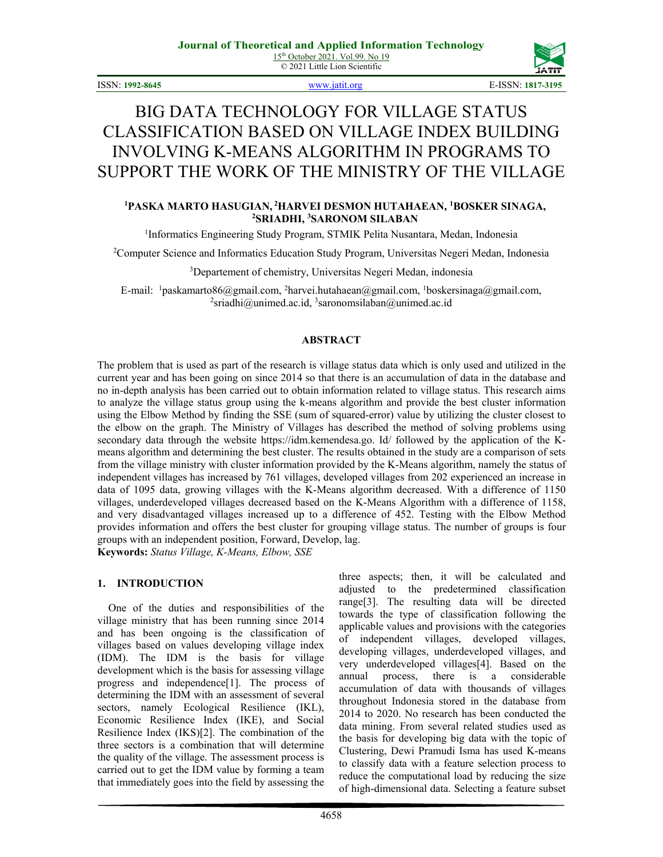© 2021 Little Lion Scientific



ISSN: **1992-8645** [www.jatit.org](http://www.jatit.org/) E-ISSN: **1817-3195**

# BIG DATA TECHNOLOGY FOR VILLAGE STATUS CLASSIFICATION BASED ON VILLAGE INDEX BUILDING INVOLVING K-MEANS ALGORITHM IN PROGRAMS TO SUPPORT THE WORK OF THE MINISTRY OF THE VILLAGE

#### <sup>1</sup>PASKA MARTO HASUGIAN, <sup>2</sup>HARVEI DESMON HUTAHAEAN, <sup>1</sup>BOSKER SINAGA,<br>24 ABANOM SILABAN **SRIADHI, 3 SARONOM SILABAN**

<sup>1</sup>Informatics Engineering Study Program, STMIK Pelita Nusantara, Medan, Indonesia

2 Computer Science and Informatics Education Study Program, Universitas Negeri Medan, Indonesia

3 Departement of chemistry, Universitas Negeri Medan, indonesia

E-mail: <sup>1</sup>paskamarto86@gmail.com, <sup>2</sup>harvei.hutahaean@gmail.com, <sup>1</sup>boskersinaga@gmail.com, <sup>2</sup>sriadhi@unimed ac id <sup>3</sup>saronomsilahan@unimed ac id sriadhi@unimed.ac.id, 3saronomsilaban@unimed.ac.id

#### **ABSTRACT**

The problem that is used as part of the research is village status data which is only used and utilized in the current year and has been going on since 2014 so that there is an accumulation of data in the database and no in-depth analysis has been carried out to obtain information related to village status. This research aims to analyze the village status group using the k-means algorithm and provide the best cluster information using the Elbow Method by finding the SSE (sum of squared-error) value by utilizing the cluster closest to the elbow on the graph. The Ministry of Villages has described the method of solving problems using secondary data through the website https://idm.kemendesa.go. Id/ followed by the application of the Kmeans algorithm and determining the best cluster. The results obtained in the study are a comparison of sets from the village ministry with cluster information provided by the K-Means algorithm, namely the status of independent villages has increased by 761 villages, developed villages from 202 experienced an increase in data of 1095 data, growing villages with the K-Means algorithm decreased. With a difference of 1150 villages, underdeveloped villages decreased based on the K-Means Algorithm with a difference of 1158, and very disadvantaged villages increased up to a difference of 452. Testing with the Elbow Method provides information and offers the best cluster for grouping village status. The number of groups is four groups with an independent position, Forward, Develop, lag.

**Keywords:** *Status Village, K-Means, Elbow, SSE*

#### **1. INTRODUCTION**

One of the duties and responsibilities of the village ministry that has been running since 2014 and has been ongoing is the classification of villages based on values developing village index (IDM). The IDM is the basis for village development which is the basis for assessing village progress and independence[1]. The process of determining the IDM with an assessment of several sectors, namely Ecological Resilience (IKL), Economic Resilience Index (IKE), and Social Resilience Index (IKS)[2]. The combination of the three sectors is a combination that will determine the quality of the village. The assessment process is carried out to get the IDM value by forming a team that immediately goes into the field by assessing the

three aspects; then, it will be calculated and adjusted to the predetermined classification range[3]. The resulting data will be directed towards the type of classification following the applicable values and provisions with the categories of independent villages, developed villages, developing villages, underdeveloped villages, and very underdeveloped villages[4]. Based on the annual process, there is a considerable accumulation of data with thousands of villages throughout Indonesia stored in the database from 2014 to 2020. No research has been conducted the data mining. From several related studies used as the basis for developing big data with the topic of Clustering, Dewi Pramudi Isma has used K-means to classify data with a feature selection process to reduce the computational load by reducing the size of high-dimensional data. Selecting a feature subset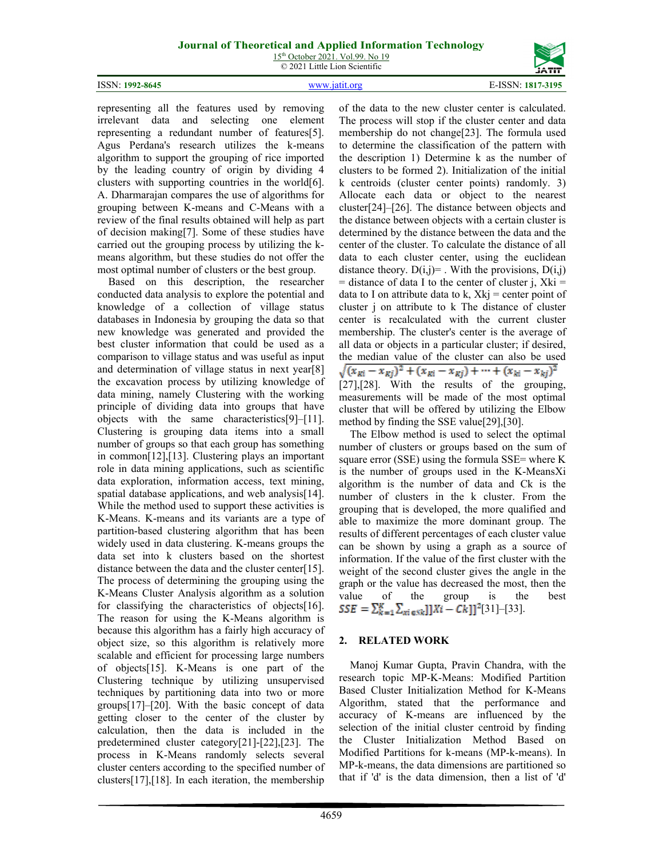15<sup>th</sup> October 2021. Vol.99. No 19 © 2021 Little Lion Scientific



ISSN: **1992-8645** [www.jatit.org](http://www.jatit.org/) E-ISSN: **1817-3195**

representing all the features used by removing irrelevant data and selecting one element representing a redundant number of features[5]. Agus Perdana's research utilizes the k-means algorithm to support the grouping of rice imported by the leading country of origin by dividing 4 clusters with supporting countries in the world[6]. A. Dharmarajan compares the use of algorithms for grouping between K-means and C-Means with a review of the final results obtained will help as part of decision making[7]. Some of these studies have carried out the grouping process by utilizing the kmeans algorithm, but these studies do not offer the most optimal number of clusters or the best group.

Based on this description, the researcher conducted data analysis to explore the potential and knowledge of a collection of village status databases in Indonesia by grouping the data so that new knowledge was generated and provided the best cluster information that could be used as a comparison to village status and was useful as input and determination of village status in next year[8] the excavation process by utilizing knowledge of data mining, namely Clustering with the working principle of dividing data into groups that have objects with the same characteristics[9]–[11]. Clustering is grouping data items into a small number of groups so that each group has something in common[12],[13]. Clustering plays an important role in data mining applications, such as scientific data exploration, information access, text mining, spatial database applications, and web analysis<sup>[14]</sup>. While the method used to support these activities is K-Means. K-means and its variants are a type of partition-based clustering algorithm that has been widely used in data clustering. K-means groups the data set into k clusters based on the shortest distance between the data and the cluster center[15]. The process of determining the grouping using the K-Means Cluster Analysis algorithm as a solution for classifying the characteristics of objects[16]. The reason for using the K-Means algorithm is because this algorithm has a fairly high accuracy of object size, so this algorithm is relatively more scalable and efficient for processing large numbers of objects[15]. K-Means is one part of the Clustering technique by utilizing unsupervised techniques by partitioning data into two or more groups[17]–[20]. With the basic concept of data getting closer to the center of the cluster by calculation, then the data is included in the predetermined cluster category[21]-[22],[23]. The process in K-Means randomly selects several cluster centers according to the specified number of clusters[17],[18]. In each iteration, the membership of the data to the new cluster center is calculated. The process will stop if the cluster center and data membership do not change[23]. The formula used to determine the classification of the pattern with the description 1) Determine k as the number of clusters to be formed 2). Initialization of the initial k centroids (cluster center points) randomly. 3) Allocate each data or object to the nearest cluster[24]–[26]. The distance between objects and the distance between objects with a certain cluster is determined by the distance between the data and the center of the cluster. To calculate the distance of all data to each cluster center, using the euclidean distance theory.  $D(i,j)$ = . With the provisions,  $D(i,j)$  $=$  distance of data I to the center of cluster j, Xki  $=$ data to I on attribute data to k,  $Xk$ j = center point of cluster j on attribute to k The distance of cluster center is recalculated with the current cluster membership. The cluster's center is the average of all data or objects in a particular cluster; if desired, the median value of the cluster can also be used<br>  $\sqrt{(x_{ki} - x_{kj})^2 + (x_{ki} - x_{kj}) + \dots + (x_{ki} - x_{kj})^2}$ [27],[28]. With the results of the grouping, measurements will be made of the most optimal cluster that will be offered by utilizing the Elbow method by finding the SSE value[29],[30].

The Elbow method is used to select the optimal number of clusters or groups based on the sum of square error (SSE) using the formula SSE= where K is the number of groups used in the K-MeansXi algorithm is the number of data and Ck is the number of clusters in the k cluster. From the grouping that is developed, the more qualified and able to maximize the more dominant group. The results of different percentages of each cluster value can be shown by using a graph as a source of information. If the value of the first cluster with the weight of the second cluster gives the angle in the graph or the value has decreased the most, then the value of the group is the best  $SSE = \sum_{k=1}^{K} \sum_{mi \in Sk} [X_i - C_k]]^2[31] - [33].$ 

#### **2. RELATED WORK**

Manoj Kumar Gupta, Pravin Chandra, with the research topic MP-K-Means: Modified Partition Based Cluster Initialization Method for K-Means Algorithm, stated that the performance and accuracy of K-means are influenced by the selection of the initial cluster centroid by finding the Cluster Initialization Method Based on Modified Partitions for k-means (MP-k-means). In MP-k-means, the data dimensions are partitioned so that if 'd' is the data dimension, then a list of 'd'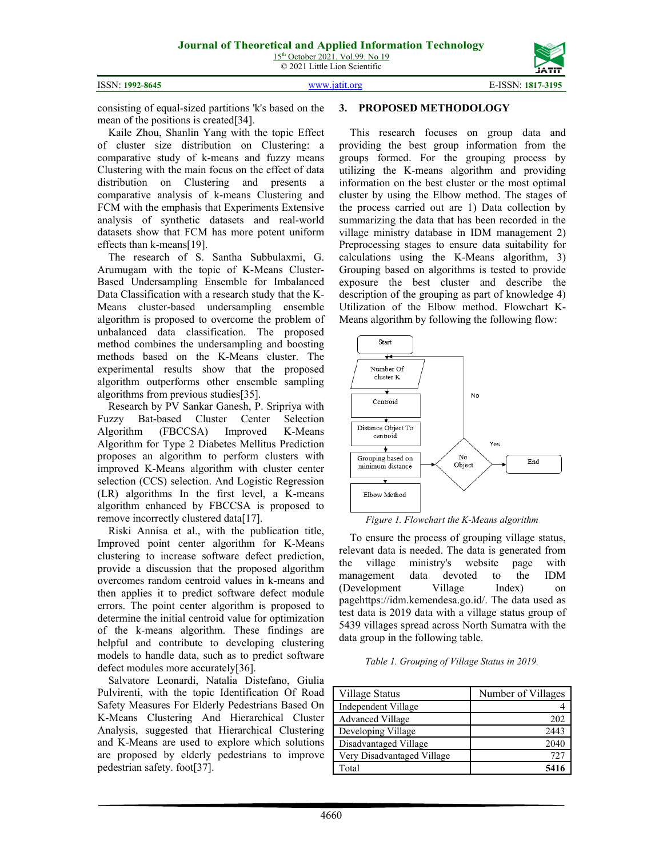



consisting of equal-sized partitions 'k's based on the mean of the positions is created[34].

Kaile Zhou, Shanlin Yang with the topic Effect of cluster size distribution on Clustering: a comparative study of k-means and fuzzy means Clustering with the main focus on the effect of data distribution on Clustering and presents a comparative analysis of k-means Clustering and FCM with the emphasis that Experiments Extensive analysis of synthetic datasets and real-world datasets show that FCM has more potent uniform effects than k-means[19].

The research of S. Santha Subbulaxmi, G. Arumugam with the topic of K-Means Cluster-Based Undersampling Ensemble for Imbalanced Data Classification with a research study that the K-Means cluster-based undersampling ensemble algorithm is proposed to overcome the problem of unbalanced data classification. The proposed method combines the undersampling and boosting methods based on the K-Means cluster. The experimental results show that the proposed algorithm outperforms other ensemble sampling algorithms from previous studies[35].

Research by PV Sankar Ganesh, P. Sripriya with Fuzzy Bat-based Cluster Center Selection Algorithm (FBCCSA) Improved K-Means Algorithm for Type 2 Diabetes Mellitus Prediction proposes an algorithm to perform clusters with improved K-Means algorithm with cluster center selection (CCS) selection. And Logistic Regression (LR) algorithms In the first level, a K-means algorithm enhanced by FBCCSA is proposed to remove incorrectly clustered data[17].

Riski Annisa et al., with the publication title, Improved point center algorithm for K-Means clustering to increase software defect prediction, provide a discussion that the proposed algorithm overcomes random centroid values in k-means and then applies it to predict software defect module errors. The point center algorithm is proposed to determine the initial centroid value for optimization of the k-means algorithm. These findings are helpful and contribute to developing clustering models to handle data, such as to predict software defect modules more accurately[36].

Salvatore Leonardi, Natalia Distefano, Giulia Pulvirenti, with the topic Identification Of Road Safety Measures For Elderly Pedestrians Based On K-Means Clustering And Hierarchical Cluster Analysis, suggested that Hierarchical Clustering and K-Means are used to explore which solutions are proposed by elderly pedestrians to improve pedestrian safety. foot[37].

#### **3. PROPOSED METHODOLOGY**

This research focuses on group data and providing the best group information from the groups formed. For the grouping process by utilizing the K-means algorithm and providing information on the best cluster or the most optimal cluster by using the Elbow method. The stages of the process carried out are 1) Data collection by summarizing the data that has been recorded in the village ministry database in IDM management 2) Preprocessing stages to ensure data suitability for calculations using the K-Means algorithm, 3) Grouping based on algorithms is tested to provide exposure the best cluster and describe the description of the grouping as part of knowledge 4) Utilization of the Elbow method. Flowchart K-Means algorithm by following the following flow:



*Figure 1. Flowchart the K-Means algorithm*

To ensure the process of grouping village status, relevant data is needed. The data is generated from the village ministry's website page with management data devoted to the IDM (Development Village Index) on pagehttps://idm.kemendesa.go.id/. The data used as test data is 2019 data with a village status group of 5439 villages spread across North Sumatra with the data group in the following table.

*Table 1. Grouping of Village Status in 2019.*

| Village Status             | Number of Villages |
|----------------------------|--------------------|
| Independent Village        |                    |
| <b>Advanced Village</b>    | 202                |
| Developing Village         | 2443               |
| Disadvantaged Village      | 2040               |
| Very Disadvantaged Village | 721                |
| Total                      | 5416               |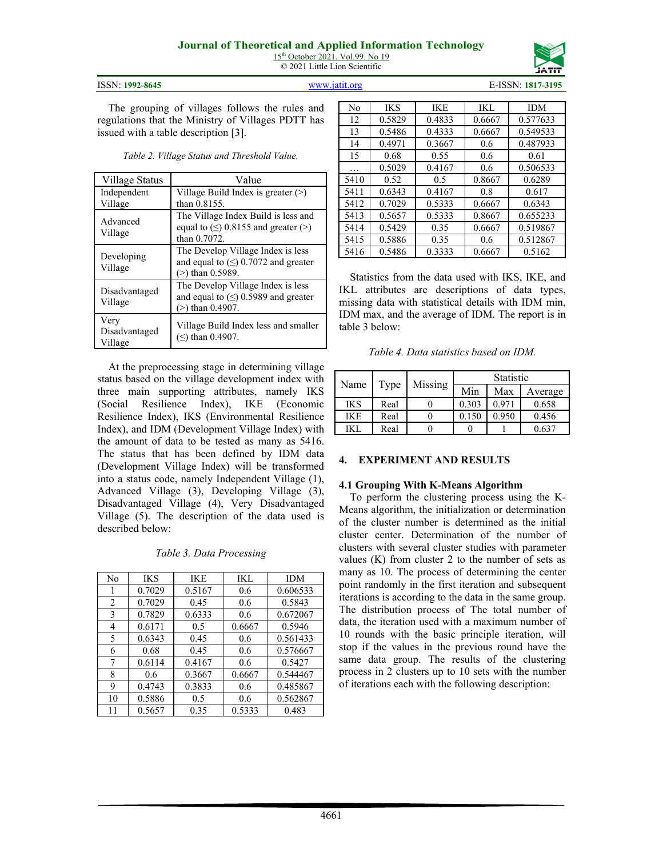15<sup>th</sup> October 2021. Vol.99. No 19 © 2021 Little Lion Scientific





The grouping of villages follows the rules and regulations that the Ministry of Villages PDTT has issued with a table description [3].

*Table 2. Village Status and Threshold Value.*

| Village Status                   | Value                                                                                              |
|----------------------------------|----------------------------------------------------------------------------------------------------|
| Independent<br>Village           | Village Build Index is greater $(>)$<br>than 0.8155.                                               |
| Advanced<br>Village              | The Village Index Build is less and<br>equal to $(\le)$ 0.8155 and greater $(\ge)$<br>than 0.7072. |
| Developing<br>Village            | The Develop Village Index is less<br>and equal to $(\le)$ 0.7072 and greater<br>$(>)$ than 0.5989. |
| Disadvantaged<br>Village         | The Develop Village Index is less<br>and equal to $(\le)$ 0.5989 and greater<br>$(>)$ than 0.4907. |
| Very<br>Disadvantaged<br>Village | Village Build Index less and smaller<br>$(\le)$ than 0.4907.                                       |

At the preprocessing stage in determining village status based on the village development index with three main supporting attributes, namely IKS (Social Resilience Index), IKE (Economic Resilience Index), IKS (Environmental Resilience Index), and IDM (Development Village Index) with the amount of data to be tested as many as 5416. The status that has been defined by IDM data (Development Village Index) will be transformed into a status code, namely Independent Village (1), Advanced Village (3), Developing Village (3), Disadvantaged Village (4), Very Disadvantaged Village (5). The description of the data used is described below:

*Table 3. Data Processing*

| No | <b>IKS</b> | <b>IKE</b> | IKL    | <b>IDM</b> |
|----|------------|------------|--------|------------|
|    | 0.7029     | 0.5167     | 0.6    | 0.606533   |
| 2  | 0.7029     | 0.45       | 0.6    | 0.5843     |
| 3  | 0.7829     | 0.6333     | 0.6    | 0.672067   |
| 4  | 0.6171     | 0.5        | 0.6667 | 0.5946     |
| 5  | 0.6343     | 0.45       | 0.6    | 0.561433   |
| 6  | 0.68       | 0.45       | 0.6    | 0.576667   |
| 7  | 0.6114     | 0.4167     | 0.6    | 0.5427     |
| 8  | 0.6        | 0.3667     | 0.6667 | 0.544467   |
| 9  | 0.4743     | 0.3833     | 0.6    | 0.485867   |
| 10 | 0.5886     | 0.5        | 0.6    | 0.562867   |
| 11 | 0.5657     | 0.35       | 0.5333 | 0.483      |

| No   | <b>IKS</b> | <b>IKE</b> | IKL    | IDM      |
|------|------------|------------|--------|----------|
| 12   | 0.5829     | 0.4833     | 0.6667 | 0.577633 |
| 13   | 0.5486     | 0.4333     | 0.6667 | 0.549533 |
| 14   | 0.4971     | 0.3667     | 0.6    | 0.487933 |
| 15   | 0.68       | 0.55       | 0.6    | 0.61     |
| .    | 0.5029     | 0.4167     | 0.6    | 0.506533 |
| 5410 | 0.52       | 0.5        | 0.8667 | 0.6289   |
| 5411 | 0.6343     | 0.4167     | 0.8    | 0.617    |
| 5412 | 0.7029     | 0.5333     | 0.6667 | 0.6343   |
| 5413 | 0.5657     | 0.5333     | 0.8667 | 0.655233 |
| 5414 | 0.5429     | 0.35       | 0.6667 | 0.519867 |
| 5415 | 0.5886     | 0.35       | 0.6    | 0.512867 |
| 5416 | 0.5486     | 0.3333     | 0.6667 | 0.5162   |

Statistics from the data used with IKS, IKE, and IKL attributes are descriptions of data types, missing data with statistical details with IDM min, IDM max, and the average of IDM. The report is in table 3 below:

*Table 4. Data statistics based on IDM.*

| Name       |      | Missing | Statistic |       |         |  |  |  |
|------------|------|---------|-----------|-------|---------|--|--|--|
|            | Type |         | Min       | Max   | Average |  |  |  |
| <b>IKS</b> | Real |         | 0.303     | 0.971 | 0.658   |  |  |  |
| IKE        | Real |         | 0.150     | 0.950 | 0.456   |  |  |  |
| IKI.       | Real |         |           |       | 0.637   |  |  |  |

# **4. EXPERIMENT AND RESULTS**

#### **4.1 Grouping With K-Means Algorithm**

To perform the clustering process using the K-Means algorithm, the initialization or determination of the cluster number is determined as the initial cluster center. Determination of the number of clusters with several cluster studies with parameter values  $(K)$  from cluster 2 to the number of sets as many as 10. The process of determining the center point randomly in the first iteration and subsequent iterations is according to the data in the same group. The distribution process of The total number of data, the iteration used with a maximum number of 10 rounds with the basic principle iteration, will stop if the values in the previous round have the same data group. The results of the clustering process in 2 clusters up to 10 sets with the number of iterations each with the following description: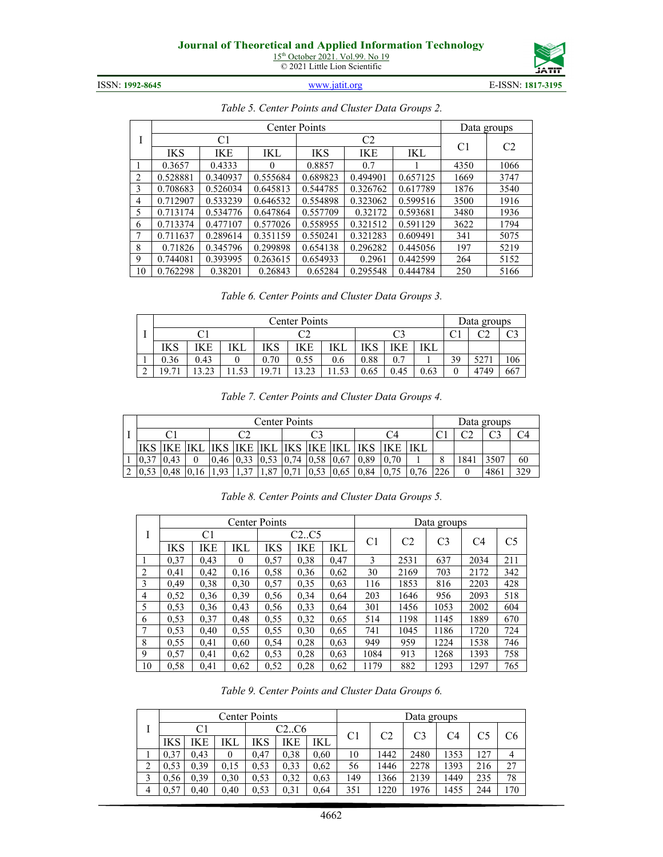

| ISSN: 1992-8645 | www.jatit.org | E-ISSN: 1817-3195 |
|-----------------|---------------|-------------------|
|-----------------|---------------|-------------------|

I Center Points Data groups C1 C2 C1 C2 IKS IKE IKL IKS IKE IKL 1 0.3657 0.4333 0 0 0.8857 0.7 1 4350 1066 0.528881 0.340937 0.555684 0.689823 0.494901 0.657125 1669 3747 0.708683 0.526034 0.645813 0.544785 0.326762 0.617789 1876 3540 0.712907 0.533239 0.646532 0.554898 0.323062 0.599516 3500 1916 0.713174 0.534776 0.647864 0.557709 0.32172 0.593681 3480 1936 0.713374 0.477107 0.577026 0.558955 0.321512 0.591129 3622 1794 0.711637 0.289614 0.351159 0.550241 0.321283 0.609491 341 5075 0.71826 0.345796 0.299898 0.654138 0.296282 0.445056 197 5219 0.744081 0.393995 0.263615 0.654933 0.2961 0.442599 264 5152 10 | 0.762298 | 0.38201 | 0.26843 | 0.65284 | 0.295548 | 0.444784 | 250 | 5166

#### *Table 5. Center Points and Cluster Data Groups 2.*

*Table 6. Center Points and Cluster Data Groups 3.*

|                    | Data groups |        |                    |                             |               |      |      |             |              |             |     |
|--------------------|-------------|--------|--------------------|-----------------------------|---------------|------|------|-------------|--------------|-------------|-----|
| C2                 |             |        |                    |                             |               |      |      | $\sim$<br>◡ | $\cap$<br>◡▵ | $\sim$<br>ں |     |
| IKS                | ιKΕ         | IKL    | IKS                | IKE                         | IKI           | IKS  | IKE  |             |              |             |     |
| 0.36               | 0.43        |        | 0.70               | 0.55                        | 0.6           | 0.88 | 0.7  |             | 39           | 527         | 106 |
| $\mathbf{r}$<br>۱9 | ⊸ ک∙ ف      | $\sim$ | $\sim$<br>$\Omega$ | $\mathbf{\Omega}$<br>$\sim$ | $\sim$ $\sim$ | 0.65 | 0.45 | 0.63        |              | 4749        | 667 |

|  |  |  | Table 7. Center Points and Cluster Data Groups 4. |
|--|--|--|---------------------------------------------------|
|  |  |  |                                                   |

|             | Center Points |  |                |                |      |      |            |      |      |      |             |     | Data groups |      |     |  |
|-------------|---------------|--|----------------|----------------|------|------|------------|------|------|------|-------------|-----|-------------|------|-----|--|
|             |               |  |                |                | ∩≏   |      |            | C4   |      |      | $\sim$<br>◡ |     | $\sim$      |      |     |  |
| IKS         | IKE           |  |                | KE             | 'IKL | IKS  | <b>IKE</b> | 'IKL |      | IKE  | IKL         |     |             |      |     |  |
| $v_{\cdot}$ |               |  | 0,46           | 0,33           | 0.53 | 0.74 | 0.58       | 0.67 | 0,89 | 0.70 |             | ິ   | 1841        | 3507 | 60  |  |
| 52          |               |  | Q <sub>2</sub> | $\gamma$ $\pi$ | 1.87 | 0.71 | 0.53       |      | 0.84 | 0.75 | 76          | 226 |             | 486  | 329 |  |

|    |      |      |          | <b>Center Points</b> |              |      |      |                | Data groups    |      |                |
|----|------|------|----------|----------------------|--------------|------|------|----------------|----------------|------|----------------|
| I  |      | C1   |          |                      | C2C5         |      |      | C <sub>2</sub> | C <sub>3</sub> | C4   | C <sub>5</sub> |
|    | IKS  | IKE  | IKL      | IKS                  | IKE          | IKL  | C1   |                |                |      |                |
|    | 0,37 | 0,43 | $\theta$ | 0,57                 | 0,38         | 0,47 | 3    | 2531           | 637            | 2034 | 211            |
| 2  | 0.41 | 0.42 | 0.16     | 0,58                 | 0,36         | 0.62 | 30   | 2169           | 703            | 2172 | 342            |
| 3  | 0.49 | 0,38 | 0,30     | 0,57                 | 0,35<br>0.63 |      | 116  | 1853           | 816            | 2203 | 428            |
| 4  | 0,52 | 0,36 | 0.39     | 0,56                 | 0,34         | 0.64 | 203  | 1646           | 956            | 2093 | 518            |
| 5  | 0.53 | 0,36 | 0.43     | 0,56                 | 0,33         | 0.64 | 301  | 1456           | 1053           | 2002 | 604            |
| 6  | 0.53 | 0.37 | 0.48     | 0,55                 | 0,32         | 0.65 | 514  | 1198           | 1145           | 1889 | 670            |
| 7  | 0,53 | 0.40 | 0.55     | 0.55                 | 0,30         | 0.65 | 741  | 1045           | 1186           | 1720 | 724            |
| 8  | 0.55 | 0.41 | 0.60     | 0,54                 | 0,28         | 0.63 | 949  | 959            | 1224           | 1538 | 746            |
| 9  | 0,57 | 0.41 | 0,62     | 0,53                 | 0,28         | 0.63 | 1084 | 913            | 1268           | 1393 | 758            |
| 10 | 0,58 | 0.41 | 0,62     | 0,52                 | 0,28         | 0.62 | 1179 | 882            | 1293           | 1297 | 765            |

*Table 8. Center Points and Cluster Data Groups 5.*

*Table 9. Center Points and Cluster Data Groups 6.*

|   |                  |      |          | <b>Center Points</b> |      |      | Data groups |                |      |      |     |                |  |
|---|------------------|------|----------|----------------------|------|------|-------------|----------------|------|------|-----|----------------|--|
|   | C2C6<br>C1<br>C2 |      |          |                      |      |      |             | C <sub>3</sub> | C4   |      | C6  |                |  |
|   | IKS              | IKE  | IKL      | IKS                  | IKE  | IKL  |             |                |      |      |     |                |  |
|   | 0,37             | 0.43 | $\theta$ | 0.47                 | 0.38 | 0,60 | 10          | 1442           | 2480 | 1353 | 127 | $\overline{4}$ |  |
| ∠ | 0,53             | 0.39 | 0,15     | 0.53                 | 0.33 | 0.62 | 56          | 1446           | 2278 | 1393 | 216 | 27             |  |
|   | 0.56             | 0,39 | 0,30     | 0.53                 | 0,32 | 0.63 | 149         | 1366           | 2139 | 1449 | 235 | 78             |  |
| 4 | 0,57             | 0.40 | 0,40     | 0.53                 | 0.31 | 0,64 | 351         | 1220           | 1976 | 1455 | 244 | 170            |  |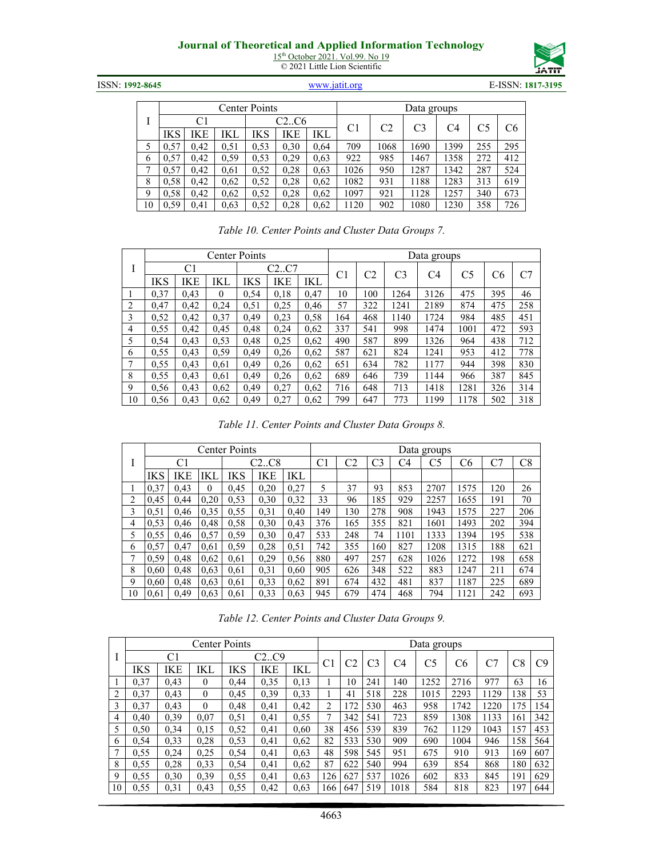15<sup>th</sup> October 2021. Vol.99. No 19 © 2021 Little Lion Scientific



ISSN: **1992-8645** [www.jatit.org](http://www.jatit.org/) E-ISSN: **1817-3195**

|    |      |      |      | <b>Center Points</b> |      |      | Data groups |                |                |      |     |     |  |  |
|----|------|------|------|----------------------|------|------|-------------|----------------|----------------|------|-----|-----|--|--|
|    |      | C1   |      |                      | C2C6 |      | C1          | C <sub>2</sub> | C <sub>3</sub> | C4   | C5  | C6  |  |  |
|    | IKS  | ΙKΕ  | IKL  | IKS                  | IKE  | IKL  |             |                |                |      |     |     |  |  |
|    | 0,57 | 0.42 | 0.51 | 0.53                 | 0,30 | 0,64 | 709         | 1068           | 1690           | 1399 | 255 | 295 |  |  |
| 6  | 0,57 | 0.42 | 0.59 | 0.53                 | 0,29 | 0.63 | 922         | 985            | 1467           | 1358 | 272 | 412 |  |  |
| ⇁  | 0,57 | 0.42 | 0.61 | 0,52                 | 0,28 | 0.63 | 1026        | 950            | 1287           | 1342 | 287 | 524 |  |  |
| 8  | 0.58 | 0.42 | 0.62 | 0,52                 | 0,28 | 0,62 | 1082        | 931            | 1188           | 1283 | 313 | 619 |  |  |
| 9  | 0,58 | 0.42 | 0,62 | 0,52                 | 0,28 | 0,62 | 1097        | 921            | 1128           | 1257 | 340 | 673 |  |  |
| 10 | 0.59 | 0.41 | 0,63 | 0,52                 | 0,28 | 0.62 | 1120        | 902            | 1080           | 1230 | 358 | 726 |  |  |

| Table 10. Center Points and Cluster Data Groups 7. |  |  |
|----------------------------------------------------|--|--|
|                                                    |  |  |

|    |      |      |          | <b>Center Points</b> |      |      | Data groups |     |                |      |      |     |     |
|----|------|------|----------|----------------------|------|------|-------------|-----|----------------|------|------|-----|-----|
|    |      | C1   |          |                      | C2C7 |      | C1          | C2  | C <sub>3</sub> | C4   | C5   |     | C7  |
|    | IKS  | IKE  | IKL      | IKS                  | IKE  | IKL  |             |     |                |      |      | C6  |     |
|    | 0,37 | 0.43 | $\theta$ | 0,54                 | 0,18 | 0.47 | 10          | 100 | 1264           | 3126 | 475  | 395 | 46  |
| 2  | 0.47 | 0.42 | 0,24     | 0,51                 | 0,25 | 0.46 | 57          | 322 | 1241           | 2189 | 874  | 475 | 258 |
| 3  | 0,52 | 0.42 | 0.37     | 0.49                 | 0,23 | 0,58 | 164         | 468 | 1140           | 1724 | 984  | 485 | 451 |
| 4  | 0.55 | 0.42 | 0.45     | 0.48                 | 0,24 | 0,62 | 337         | 541 | 998            | 1474 | 1001 | 472 | 593 |
| 5  | 0,54 | 0.43 | 0,53     | 0.48                 | 0,25 | 0.62 | 490         | 587 | 899            | 1326 | 964  | 438 | 712 |
| 6  | 0.55 | 0.43 | 0.59     | 0.49                 | 0,26 | 0.62 | 587         | 621 | 824            | 1241 | 953  | 412 | 778 |
| 7  | 0.55 | 0.43 | 0.61     | 0,49                 | 0,26 | 0.62 | 651         | 634 | 782            | 1177 | 944  | 398 | 830 |
| 8  | 0.55 | 0.43 | 0.61     | 0.49                 | 0,26 | 0.62 | 689         | 646 | 739            | 1144 | 966  | 387 | 845 |
| 9  | 0,56 | 0.43 | 0.62     | 0.49                 | 0,27 | 0.62 | 716         | 648 | 713            | 1418 | 1281 | 326 | 314 |
| 10 | 0,56 | 0.43 | 0,62     | 0,49                 | 0,27 | 0,62 | 799         | 647 | 773            | 1199 | 1178 | 502 | 318 |

|  |  |  | Table 11. Center Points and Cluster Data Groups 8. |
|--|--|--|----------------------------------------------------|
|  |  |  |                                                    |

|                |      |      |          | <b>Center Points</b> |       |      |     |     |                |      | Data groups |      |     |     |
|----------------|------|------|----------|----------------------|-------|------|-----|-----|----------------|------|-------------|------|-----|-----|
| Ι              |      | C1   |          |                      | C2.C8 |      | C1  | C2  | C <sub>3</sub> | C4   | C5          | C6   | rп  | C8  |
|                | IKS  | IKE  | IKL      | IKS                  | IKE   | IKL  |     |     |                |      |             |      |     |     |
|                | 0,37 | 0,43 | $\Omega$ | 0.45                 | 0,20  | 0,27 | 5   | 37  | 93             | 853  | 2707        | 1575 | 120 | 26  |
| 2              | 0,45 | 0.44 | 0,20     | 0,53                 | 0,30  | 0,32 | 33  | 96  | 185            | 929  | 2257        | 1655 | 191 | 70  |
| 3              | 0,51 | 0,46 | 0.35     | 0,55                 | 0.31  | 0,40 | 149 | 130 | 278            | 908  | 1943        | 1575 | 227 | 206 |
| 4              | 0.53 | 0,46 | 0.48     | 0.58                 | 0,30  | 0,43 | 376 | 165 | 355            | 821  | 1601        | 1493 | 202 | 394 |
| 5              | 0,55 | 0.46 | 0,57     | 0.59                 | 0,30  | 0,47 | 533 | 248 | 74             | 1101 | 1333        | 1394 | 195 | 538 |
| 6              | 0,57 | 0.47 | 0.61     | 0.59                 | 0,28  | 0.51 | 742 | 355 | 160            | 827  | 1208        | 1315 | 188 | 621 |
| $\overline{7}$ | 0.59 | 0,48 | 0.62     | 0,61                 | 0,29  | 0.56 | 880 | 497 | 257            | 628  | 1026        | 1272 | 198 | 658 |
| 8              | 0,60 | 0,48 | 0.63     | 0.61                 | 0,31  | 0.60 | 905 | 626 | 348            | 522  | 883         | 1247 | 211 | 674 |
| 9              | 0,60 | 0,48 | 0.63     | 0,61                 | 0,33  | 0,62 | 891 | 674 | 432            | 481  | 837         | 1187 | 225 | 689 |
| 10             | 0,61 | 0.49 | 0.63     | 0.61                 | 0,33  | 0.63 | 945 | 679 | 474            | 468  | 794         | 1121 | 242 | 693 |

*Table 12. Center Points and Cluster Data Groups 9.*

|    |      |      |              | <b>Center Points</b> |      |      |     |     |                |      | Data groups |      |      |     |     |
|----|------|------|--------------|----------------------|------|------|-----|-----|----------------|------|-------------|------|------|-----|-----|
|    |      | C1   |              |                      | C2C9 |      |     |     |                |      |             |      |      |     |     |
|    | IKS  | IKE  | IKL          | ΙKS                  | IKE  | IKL  | C1  | C2  | C <sub>3</sub> | C4   | C5          | C6   |      | C8  | C9  |
|    | 0,37 | 0.43 | $\theta$     | 0.44                 | 0.35 | 0.13 |     | 10  | 241            | 140  | 1252        | 2716 | 977  | 63  | 16  |
| 2  | 0,37 | 0.43 | $\mathbf{0}$ | 0.45                 | 0.39 | 0,33 |     | 41  | 518            | 228  | 1015        | 2293 | 1129 | 138 | 53  |
| 3  | 0,37 | 0.43 | $\theta$     | 0.48                 | 0.41 | 0.42 | 2   | 172 | 530            | 463  | 958         | 1742 | 1220 | 175 | 154 |
| 4  | 0.40 | 0.39 | 0.07         | 0.51                 | 0.41 | 0.55 |     | 342 | 541            | 723  | 859         | 1308 | 1133 | 161 | 342 |
| 5  | 0.50 | 0.34 | 0.15         | 0.52                 | 0.41 | 0.60 | 38  | 456 | 539            | 839  | 762         | 1129 | 1043 | 157 | 453 |
| 6  | 0.54 | 0.33 | 0,28         | 0.53                 | 0.41 | 0.62 | 82  | 533 | 530            | 909  | 690         | 1004 | 946  | 158 | 564 |
| 7  | 0,55 | 0.24 | 0,25         | 0.54                 | 0.41 | 0.63 | 48  | 598 | 545            | 951  | 675         | 910  | 913  | 169 | 607 |
| 8  | 0.55 | 0.28 | 0.33         | 0.54                 | 0.41 | 0.62 | 87  | 622 | 540            | 994  | 639         | 854  | 868  | 180 | 632 |
| 9  | 0,55 | 0,30 | 0,39         | 0,55                 | 0.41 | 0.63 | 126 | 627 | 537            | 1026 | 602         | 833  | 845  | 191 | 629 |
| 10 | 0.55 | 0.31 | 0.43         | 0.55                 | 0.42 | 0.63 | 166 | 647 | 519            | 1018 | 584         | 818  | 823  | 197 | 644 |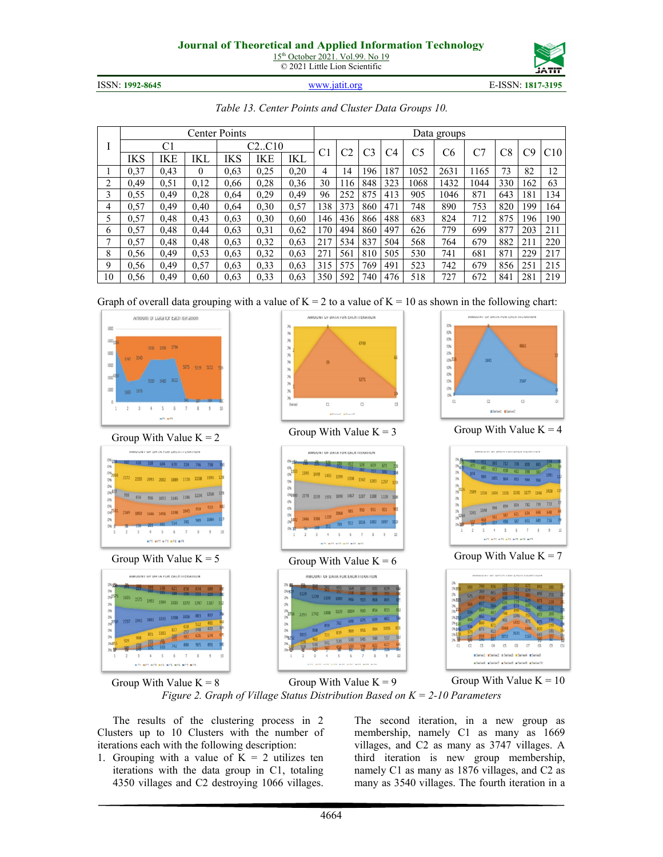15<sup>th</sup> October 2021. Vol.99. No 19 © 2021 Little Lion Scientific



ISSN: **1992-8645** [www.jatit.org](http://www.jatit.org/) E-ISSN: **1817-3195**

| www.jatit.org |  |
|---------------|--|
|               |  |

*Table 13. Center Points and Cluster Data Groups 10.*

|    |      |      |          | <b>Center Points</b> |       |      |     |     |                |     |      | Data groups |      |     |     |     |
|----|------|------|----------|----------------------|-------|------|-----|-----|----------------|-----|------|-------------|------|-----|-----|-----|
|    |      | C1   |          |                      | C2C10 |      | C1  |     | C <sub>3</sub> | C4  | C5   | C6          |      | C8  | C9  | C10 |
|    | IKS  | IKE  | IKI      | IKS                  | IKE   | IKL  |     |     |                |     |      |             |      |     |     |     |
|    | 0,37 | 0.43 | $\theta$ | 0.63                 | 0.25  | 0,20 | 4   | 14  | 196            | 187 | 1052 | 2631        | 1165 | 73  | 82  | 12  |
| ↑  | 0.49 | 0,51 | 0.12     | 0.66                 | 0,28  | 0,36 | 30  | 116 | 848            | 323 | 1068 | 1432        | 1044 | 330 | 162 | 63  |
| 3  | 0,55 | 0.49 | 0,28     | 0.64                 | 0,29  | 0.49 | 96  | 252 | 875            | 413 | 905  | 1046        | 871  | 643 | 181 | 134 |
| 4  | 0,57 | 0.49 | 0.40     | 0.64                 | 0,30  | 0.57 | 138 | 373 | 860            | 471 | 748  | 890         | 753  | 820 | 199 | 164 |
| 5  | 0.57 | 0.48 | 0,43     | 0.63                 | 0,30  | 0.60 | 146 | 436 | 866            | 488 | 683  | 824         | 712  | 875 | 196 | 190 |
| 6  | 0.57 | 0.48 | 0.44     | 0.63                 | 0,31  | 0.62 | 170 | 494 | 860            | 497 | 626  | 779         | 699  | 877 | 203 | 211 |
| 7  | 0,57 | 0.48 | 0.48     | 0.63                 | 0,32  | 0,63 | 217 | 534 | 837            | 504 | 568  | 764         | 679  | 882 | 211 | 220 |
| 8  | 0.56 | 0.49 | 0.53     | 0.63                 | 0.32  | 0.63 | 271 | 561 | 810            | 505 | 530  | 741         | 681  | 871 | 229 | 217 |
| 9  | 0,56 | 0.49 | 0,57     | 0.63                 | 0,33  | 0.63 | 315 | 575 | 769            | 491 | 523  | 742         | 679  | 856 | 251 | 215 |
| 10 | 0,56 | 0.49 | 0,60     | 0.63                 | 0.33  | 0.63 | 350 | 592 | 740            | 476 | 518  | 727         | 672  | 841 | 281 | 219 |

Graph of overall data grouping with a value of  $K = 2$  to a value of  $K = 10$  as shown in the following chart:























*Figure 2. Graph of Village Status Distribution Based on K = 2-10 Parameters*

The results of the clustering process in 2 Clusters up to 10 Clusters with the number of iterations each with the following description:

1. Grouping with a value of  $K = 2$  utilizes ten iterations with the data group in C1, totaling 4350 villages and C2 destroying 1066 villages. The second iteration, in a new group as membership, namely C1 as many as 1669 villages, and C2 as many as 3747 villages. A third iteration is new group membership, namely C1 as many as 1876 villages, and C2 as many as 3540 villages. The fourth iteration in a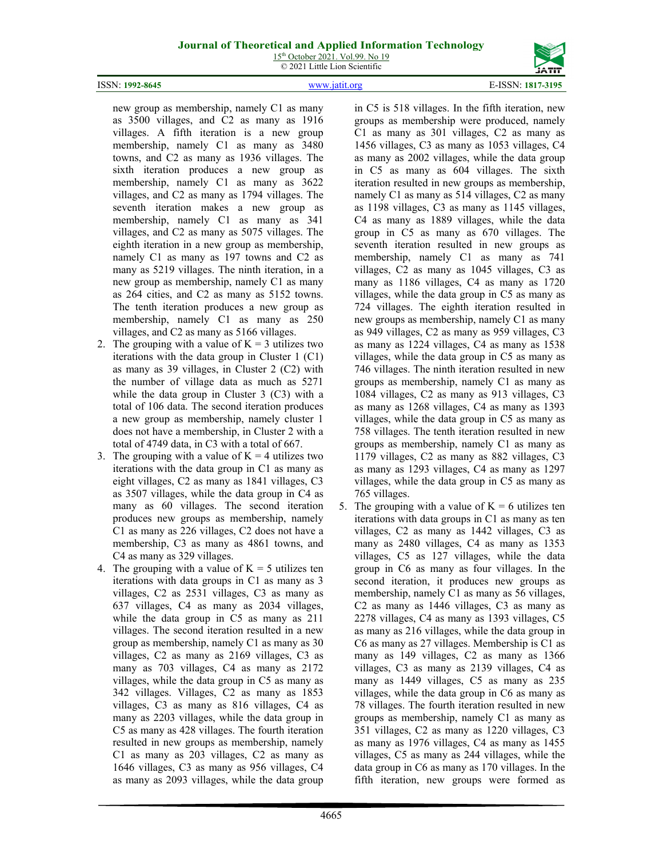

ISSN: **1992-8645** [www.jatit.org](http://www.jatit.org/) E-ISSN: **1817-3195**

new group as membership, namely C1 as many as 3500 villages, and C2 as many as 1916 villages. A fifth iteration is a new group membership, namely C1 as many as 3480 towns, and C2 as many as 1936 villages. The sixth iteration produces a new group as membership, namely C1 as many as 3622 villages, and C2 as many as 1794 villages. The seventh iteration makes a new group as membership, namely C1 as many as 341 villages, and C2 as many as 5075 villages. The eighth iteration in a new group as membership, namely C1 as many as 197 towns and C2 as many as 5219 villages. The ninth iteration, in a new group as membership, namely C1 as many as 264 cities, and C2 as many as 5152 towns. The tenth iteration produces a new group as membership, namely C1 as many as 250 villages, and C2 as many as 5166 villages.

- 2. The grouping with a value of  $K = 3$  utilizes two iterations with the data group in Cluster 1 (C1) as many as 39 villages, in Cluster 2 (C2) with the number of village data as much as 5271 while the data group in Cluster 3 (C3) with a total of 106 data. The second iteration produces a new group as membership, namely cluster 1 does not have a membership, in Cluster 2 with a total of 4749 data, in C3 with a total of 667.
- 3. The grouping with a value of  $K = 4$  utilizes two iterations with the data group in C1 as many as eight villages, C2 as many as 1841 villages, C3 as 3507 villages, while the data group in C4 as many as 60 villages. The second iteration produces new groups as membership, namely C1 as many as 226 villages, C2 does not have a membership, C3 as many as 4861 towns, and C4 as many as 329 villages.
- 4. The grouping with a value of  $K = 5$  utilizes ten iterations with data groups in C1 as many as 3 villages, C2 as 2531 villages, C3 as many as 637 villages, C4 as many as 2034 villages, while the data group in C5 as many as 211 villages. The second iteration resulted in a new group as membership, namely C1 as many as 30 villages, C2 as many as 2169 villages, C3 as many as 703 villages, C4 as many as 2172 villages, while the data group in C5 as many as 342 villages. Villages, C2 as many as 1853 villages, C3 as many as 816 villages, C4 as many as 2203 villages, while the data group in C5 as many as 428 villages. The fourth iteration resulted in new groups as membership, namely C1 as many as 203 villages, C2 as many as 1646 villages, C3 as many as 956 villages, C4 as many as 2093 villages, while the data group

in C5 is 518 villages. In the fifth iteration, new groups as membership were produced, namely C1 as many as 301 villages, C2 as many as 1456 villages, C3 as many as 1053 villages, C4 as many as 2002 villages, while the data group in C5 as many as 604 villages. The sixth iteration resulted in new groups as membership, namely C1 as many as 514 villages, C2 as many as 1198 villages, C3 as many as 1145 villages, C4 as many as 1889 villages, while the data group in C5 as many as 670 villages. The seventh iteration resulted in new groups as membership, namely C1 as many as 741 villages, C2 as many as 1045 villages, C3 as many as 1186 villages, C4 as many as 1720 villages, while the data group in C5 as many as 724 villages. The eighth iteration resulted in new groups as membership, namely C1 as many as 949 villages, C2 as many as 959 villages, C3 as many as 1224 villages, C4 as many as 1538 villages, while the data group in C5 as many as 746 villages. The ninth iteration resulted in new groups as membership, namely C1 as many as 1084 villages, C2 as many as 913 villages, C3 as many as 1268 villages, C4 as many as 1393 villages, while the data group in C5 as many as 758 villages. The tenth iteration resulted in new groups as membership, namely C1 as many as 1179 villages, C2 as many as 882 villages, C3 as many as 1293 villages, C4 as many as 1297 villages, while the data group in C5 as many as 765 villages.

5. The grouping with a value of  $K = 6$  utilizes ten iterations with data groups in C1 as many as ten villages, C2 as many as 1442 villages, C3 as many as 2480 villages, C4 as many as 1353 villages, C5 as 127 villages, while the data group in C6 as many as four villages. In the second iteration, it produces new groups as membership, namely C1 as many as 56 villages, C2 as many as 1446 villages, C3 as many as 2278 villages, C4 as many as 1393 villages, C5 as many as 216 villages, while the data group in C6 as many as 27 villages. Membership is C1 as many as 149 villages, C2 as many as 1366 villages, C3 as many as 2139 villages, C4 as many as 1449 villages, C5 as many as 235 villages, while the data group in C6 as many as 78 villages. The fourth iteration resulted in new groups as membership, namely C1 as many as 351 villages, C2 as many as 1220 villages, C3 as many as 1976 villages, C4 as many as 1455 villages, C5 as many as 244 villages, while the data group in C6 as many as 170 villages. In the fifth iteration, new groups were formed as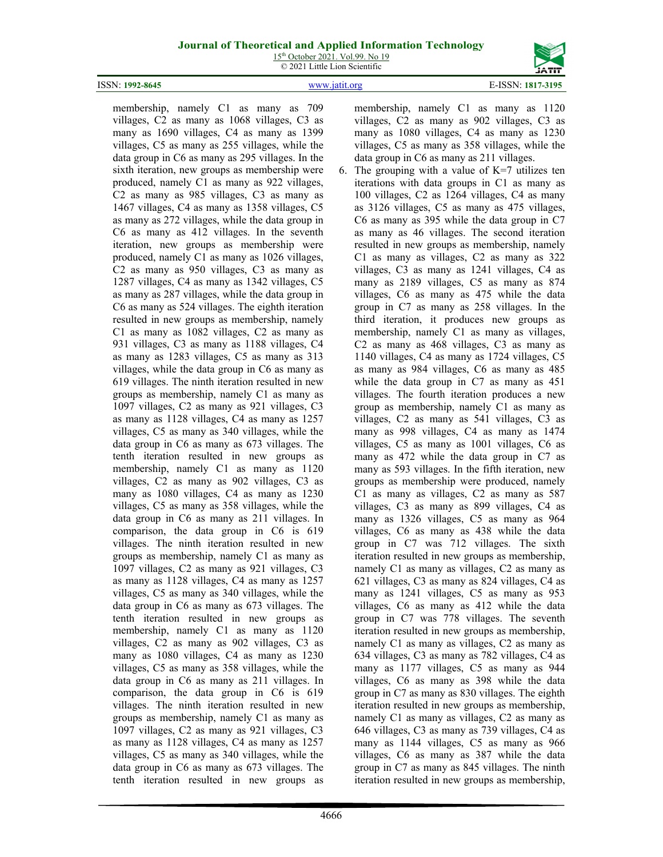15<sup>th</sup> October 2021. Vol.99. No 19 © 2021 Little Lion Scientific



membership, namely C1 as many as 709 villages, C2 as many as 1068 villages, C3 as many as 1690 villages, C4 as many as 1399 villages, C5 as many as 255 villages, while the data group in C6 as many as 295 villages. In the sixth iteration, new groups as membership were produced, namely C1 as many as 922 villages, C2 as many as 985 villages, C3 as many as 1467 villages, C4 as many as 1358 villages, C5 as many as 272 villages, while the data group in C6 as many as 412 villages. In the seventh iteration, new groups as membership were produced, namely C1 as many as 1026 villages, C2 as many as 950 villages, C3 as many as 1287 villages, C4 as many as 1342 villages, C5 as many as 287 villages, while the data group in C6 as many as 524 villages. The eighth iteration resulted in new groups as membership, namely C1 as many as 1082 villages, C2 as many as 931 villages, C3 as many as 1188 villages, C4 as many as 1283 villages, C5 as many as 313 villages, while the data group in C6 as many as 619 villages. The ninth iteration resulted in new groups as membership, namely C1 as many as 1097 villages, C2 as many as 921 villages, C3 as many as 1128 villages, C4 as many as 1257 villages, C5 as many as 340 villages, while the data group in C6 as many as 673 villages. The tenth iteration resulted in new groups as membership, namely C1 as many as 1120 villages, C2 as many as 902 villages, C3 as many as 1080 villages, C4 as many as 1230 villages, C5 as many as 358 villages, while the data group in C6 as many as 211 villages. In comparison, the data group in C6 is 619 villages. The ninth iteration resulted in new groups as membership, namely C1 as many as 1097 villages, C2 as many as 921 villages, C3 as many as 1128 villages, C4 as many as 1257 villages, C5 as many as 340 villages, while the data group in C6 as many as 673 villages. The tenth iteration resulted in new groups as membership, namely C1 as many as 1120 villages, C2 as many as 902 villages, C3 as many as 1080 villages, C4 as many as 1230 villages, C5 as many as 358 villages, while the data group in C6 as many as 211 villages. In comparison, the data group in C6 is 619 villages. The ninth iteration resulted in new groups as membership, namely C1 as many as 1097 villages, C2 as many as 921 villages, C3 as many as 1128 villages, C4 as many as 1257 villages, C5 as many as 340 villages, while the data group in C6 as many as 673 villages. The tenth iteration resulted in new groups as

4666

membership, namely C1 as many as 1120 villages, C2 as many as 902 villages, C3 as many as 1080 villages, C4 as many as 1230 villages, C5 as many as 358 villages, while the

data group in C6 as many as 211 villages. 6. The grouping with a value of  $K=7$  utilizes ten iterations with data groups in C1 as many as 100 villages, C2 as 1264 villages, C4 as many as 3126 villages, C5 as many as 475 villages, C6 as many as 395 while the data group in C7 as many as 46 villages. The second iteration resulted in new groups as membership, namely C1 as many as villages, C2 as many as 322 villages, C3 as many as 1241 villages, C4 as many as 2189 villages, C5 as many as 874 villages, C6 as many as 475 while the data group in C7 as many as 258 villages. In the third iteration, it produces new groups as membership, namely C1 as many as villages, C2 as many as 468 villages, C3 as many as 1140 villages, C4 as many as 1724 villages, C5 as many as 984 villages, C6 as many as 485 while the data group in C7 as many as 451 villages. The fourth iteration produces a new group as membership, namely C1 as many as villages, C2 as many as 541 villages, C3 as many as 998 villages, C4 as many as 1474 villages, C5 as many as 1001 villages, C6 as many as 472 while the data group in C7 as many as 593 villages. In the fifth iteration, new groups as membership were produced, namely C1 as many as villages, C2 as many as 587 villages, C3 as many as 899 villages, C4 as many as 1326 villages, C5 as many as 964 villages, C6 as many as 438 while the data group in C7 was 712 villages. The sixth iteration resulted in new groups as membership, namely C1 as many as villages, C2 as many as 621 villages, C3 as many as 824 villages, C4 as many as 1241 villages, C5 as many as 953 villages, C6 as many as 412 while the data group in C7 was 778 villages. The seventh iteration resulted in new groups as membership, namely C1 as many as villages, C2 as many as 634 villages, C3 as many as 782 villages, C4 as many as 1177 villages, C5 as many as 944 villages, C6 as many as 398 while the data group in C7 as many as 830 villages. The eighth iteration resulted in new groups as membership, namely C1 as many as villages, C2 as many as 646 villages, C3 as many as 739 villages, C4 as many as 1144 villages, C5 as many as 966 villages, C6 as many as 387 while the data group in C7 as many as 845 villages. The ninth iteration resulted in new groups as membership,

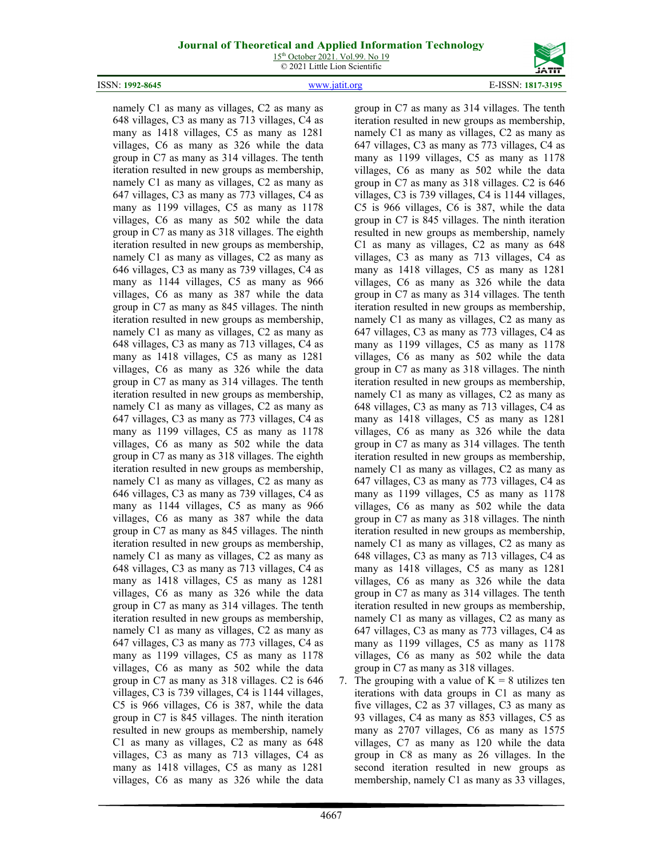15<sup>th</sup> October 2021. Vol.99. No 19 © 2021 Little Lion Scientific





namely C1 as many as villages, C2 as many as 648 villages, C3 as many as 713 villages, C4 as many as 1418 villages, C5 as many as 1281 villages, C6 as many as 326 while the data group in C7 as many as 314 villages. The tenth iteration resulted in new groups as membership, namely C1 as many as villages, C2 as many as 647 villages, C3 as many as 773 villages, C4 as many as 1199 villages, C5 as many as 1178 villages, C6 as many as 502 while the data group in C7 as many as 318 villages. The eighth iteration resulted in new groups as membership, namely C1 as many as villages, C2 as many as 646 villages, C3 as many as 739 villages, C4 as many as 1144 villages, C5 as many as 966 villages, C6 as many as 387 while the data group in C7 as many as 845 villages. The ninth iteration resulted in new groups as membership, namely C1 as many as villages, C2 as many as 648 villages, C3 as many as 713 villages, C4 as many as 1418 villages, C5 as many as 1281 villages, C6 as many as 326 while the data group in C7 as many as 314 villages. The tenth iteration resulted in new groups as membership, namely C1 as many as villages, C2 as many as 647 villages, C3 as many as 773 villages, C4 as many as 1199 villages, C5 as many as 1178 villages, C6 as many as 502 while the data group in C7 as many as 318 villages. The eighth iteration resulted in new groups as membership, namely C1 as many as villages, C2 as many as 646 villages, C3 as many as 739 villages, C4 as many as 1144 villages, C5 as many as 966 villages, C6 as many as 387 while the data group in C7 as many as 845 villages. The ninth iteration resulted in new groups as membership, namely C1 as many as villages, C2 as many as 648 villages, C3 as many as 713 villages, C4 as many as 1418 villages, C5 as many as 1281 villages, C6 as many as 326 while the data group in C7 as many as 314 villages. The tenth iteration resulted in new groups as membership, namely C1 as many as villages, C2 as many as 647 villages, C3 as many as 773 villages, C4 as many as 1199 villages, C5 as many as 1178 villages, C6 as many as 502 while the data group in C7 as many as 318 villages. C2 is 646 villages, C3 is 739 villages, C4 is 1144 villages, C5 is 966 villages, C6 is 387, while the data group in C7 is 845 villages. The ninth iteration resulted in new groups as membership, namely C1 as many as villages, C2 as many as 648 villages, C3 as many as 713 villages, C4 as many as 1418 villages, C5 as many as 1281 villages, C6 as many as 326 while the data

group in C7 as many as 314 villages. The tenth iteration resulted in new groups as membership, namely C1 as many as villages, C2 as many as 647 villages, C3 as many as 773 villages, C4 as many as 1199 villages, C5 as many as 1178 villages, C6 as many as 502 while the data group in C7 as many as 318 villages. C2 is 646 villages, C3 is 739 villages, C4 is 1144 villages, C5 is 966 villages, C6 is 387, while the data group in C7 is 845 villages. The ninth iteration resulted in new groups as membership, namely C1 as many as villages, C2 as many as 648 villages, C3 as many as 713 villages, C4 as many as 1418 villages, C5 as many as 1281 villages, C6 as many as 326 while the data group in C7 as many as 314 villages. The tenth iteration resulted in new groups as membership, namely C1 as many as villages, C2 as many as 647 villages, C3 as many as 773 villages, C4 as many as 1199 villages, C5 as many as 1178 villages, C6 as many as 502 while the data group in C7 as many as 318 villages. The ninth iteration resulted in new groups as membership, namely C1 as many as villages, C2 as many as 648 villages, C3 as many as 713 villages, C4 as many as 1418 villages, C5 as many as 1281 villages, C6 as many as 326 while the data group in C7 as many as 314 villages. The tenth iteration resulted in new groups as membership, namely C1 as many as villages, C2 as many as 647 villages, C3 as many as 773 villages, C4 as many as 1199 villages, C5 as many as 1178 villages, C6 as many as 502 while the data group in C7 as many as 318 villages. The ninth iteration resulted in new groups as membership, namely C1 as many as villages, C2 as many as 648 villages, C3 as many as 713 villages, C4 as many as 1418 villages, C5 as many as 1281 villages, C6 as many as 326 while the data group in C7 as many as 314 villages. The tenth iteration resulted in new groups as membership, namely C1 as many as villages, C2 as many as 647 villages, C3 as many as 773 villages, C4 as many as 1199 villages, C5 as many as 1178 villages, C6 as many as 502 while the data group in C7 as many as 318 villages.

7. The grouping with a value of  $K = 8$  utilizes ten iterations with data groups in C1 as many as five villages, C2 as 37 villages, C3 as many as 93 villages, C4 as many as 853 villages, C5 as many as 2707 villages, C6 as many as 1575 villages, C7 as many as 120 while the data group in C8 as many as 26 villages. In the second iteration resulted in new groups as membership, namely C1 as many as 33 villages,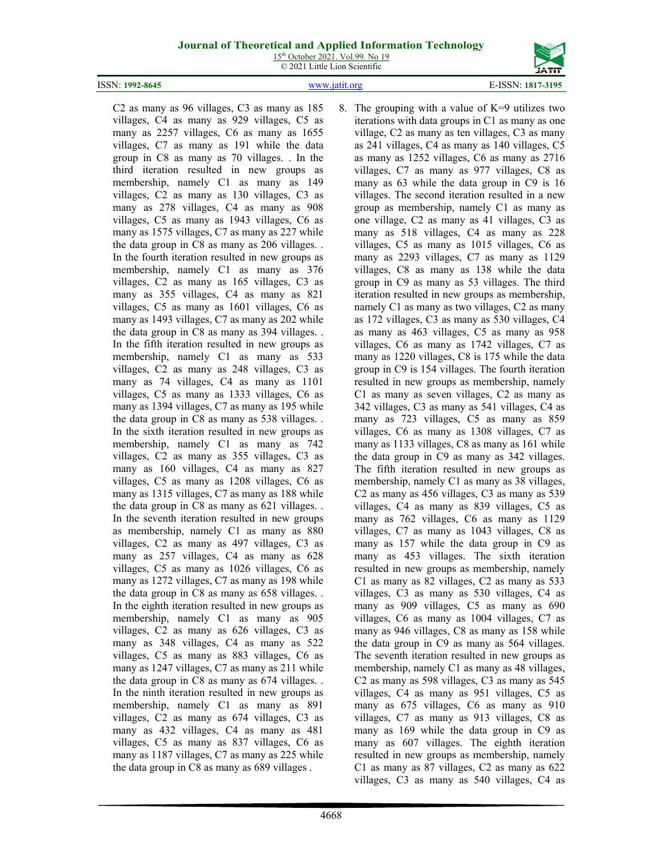15<sup>th</sup> October 2021. Vol.99. No 19 © 2021 Little Lion Scientific



ISSN: **1992-8645** [www.jatit.org](http://www.jatit.org/) E-ISSN: **1817-3195**

C2 as many as 96 villages, C3 as many as 185 villages, C4 as many as 929 villages, C5 as many as 2257 villages, C6 as many as 1655 villages, C7 as many as 191 while the data group in C8 as many as 70 villages. . In the third iteration resulted in new groups as membership, namely C1 as many as 149 villages, C2 as many as 130 villages, C3 as many as 278 villages, C4 as many as 908 villages, C5 as many as 1943 villages, C6 as many as 1575 villages, C7 as many as 227 while the data group in C8 as many as 206 villages. . In the fourth iteration resulted in new groups as membership, namely C1 as many as 376 villages, C2 as many as 165 villages, C3 as many as 355 villages, C4 as many as 821 villages, C5 as many as 1601 villages, C6 as many as 1493 villages, C7 as many as 202 while the data group in C8 as many as 394 villages. . In the fifth iteration resulted in new groups as membership, namely C1 as many as 533 villages, C2 as many as 248 villages, C3 as many as 74 villages, C4 as many as 1101 villages, C5 as many as 1333 villages, C6 as many as 1394 villages, C7 as many as 195 while the data group in C8 as many as 538 villages. . In the sixth iteration resulted in new groups as membership, namely C1 as many as 742 villages, C2 as many as 355 villages, C3 as many as 160 villages, C4 as many as 827 villages, C5 as many as 1208 villages, C6 as many as 1315 villages, C7 as many as 188 while the data group in C8 as many as 621 villages. . In the seventh iteration resulted in new groups as membership, namely C1 as many as 880 villages, C2 as many as 497 villages, C3 as many as 257 villages, C4 as many as 628 villages, C5 as many as 1026 villages, C6 as many as 1272 villages, C7 as many as 198 while the data group in C8 as many as 658 villages. . In the eighth iteration resulted in new groups as membership, namely C1 as many as 905 villages, C2 as many as 626 villages, C3 as many as 348 villages, C4 as many as 522 villages, C5 as many as 883 villages, C6 as many as 1247 villages, C7 as many as 211 while the data group in C8 as many as 674 villages. . In the ninth iteration resulted in new groups as membership, namely C1 as many as 891 villages, C2 as many as 674 villages, C3 as many as 432 villages, C4 as many as 481 villages, C5 as many as 837 villages, C6 as many as 1187 villages, C7 as many as 225 while the data group in C8 as many as 689 villages .

8. The grouping with a value of  $K=9$  utilizes two iterations with data groups in C1 as many as one village, C2 as many as ten villages, C3 as many as 241 villages, C4 as many as 140 villages, C5 as many as 1252 villages, C6 as many as 2716 villages, C7 as many as 977 villages, C8 as many as 63 while the data group in C9 is 16 villages. The second iteration resulted in a new group as membership, namely C1 as many as one village, C2 as many as 41 villages, C3 as many as 518 villages, C4 as many as 228 villages, C5 as many as 1015 villages, C6 as many as 2293 villages, C7 as many as 1129 villages, C8 as many as 138 while the data group in C9 as many as 53 villages. The third iteration resulted in new groups as membership, namely C1 as many as two villages, C2 as many as 172 villages, C3 as many as 530 villages, C4 as many as 463 villages, C5 as many as 958 villages, C6 as many as 1742 villages, C7 as many as 1220 villages, C8 is 175 while the data group in C9 is 154 villages. The fourth iteration resulted in new groups as membership, namely C1 as many as seven villages, C2 as many as 342 villages, C3 as many as 541 villages, C4 as many as 723 villages, C5 as many as 859 villages, C6 as many as 1308 villages, C7 as many as 1133 villages, C8 as many as 161 while the data group in C9 as many as 342 villages. The fifth iteration resulted in new groups as membership, namely C1 as many as 38 villages, C2 as many as 456 villages, C3 as many as 539 villages, C4 as many as 839 villages, C5 as many as 762 villages, C6 as many as 1129 villages, C7 as many as 1043 villages, C8 as many as 157 while the data group in C9 as many as 453 villages. The sixth iteration resulted in new groups as membership, namely C1 as many as 82 villages, C2 as many as 533 villages, C3 as many as 530 villages, C4 as many as 909 villages, C5 as many as 690 villages, C6 as many as 1004 villages, C7 as many as 946 villages, C8 as many as 158 while the data group in C9 as many as 564 villages. The seventh iteration resulted in new groups as membership, namely C1 as many as 48 villages, C2 as many as 598 villages, C3 as many as 545 villages, C4 as many as 951 villages, C5 as many as 675 villages, C6 as many as 910 villages, C7 as many as 913 villages, C8 as many as 169 while the data group in C9 as many as 607 villages. The eighth iteration resulted in new groups as membership, namely C1 as many as 87 villages, C2 as many as 622 villages, C3 as many as 540 villages, C4 as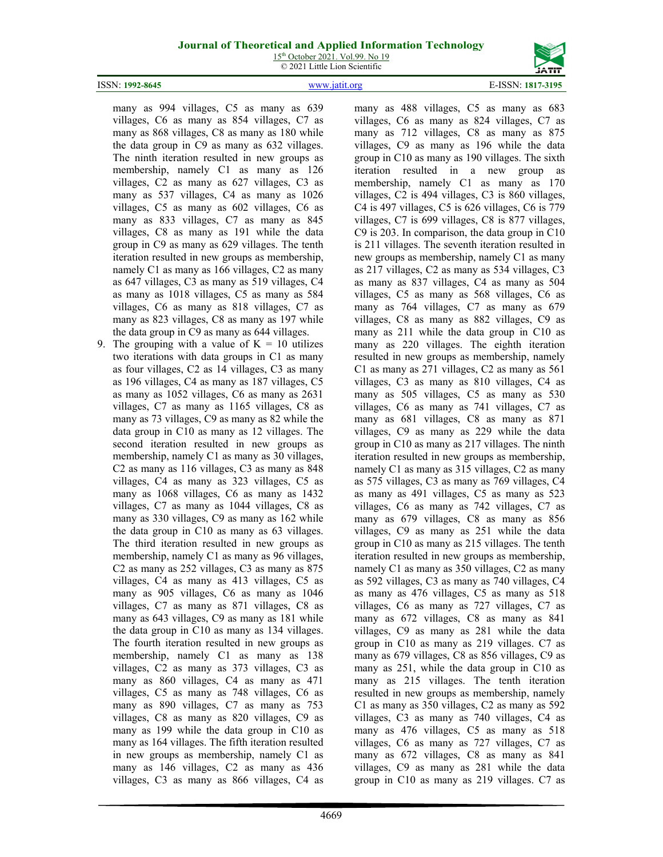15<sup>th</sup> October 2021. Vol.99. No 19 © 2021 Little Lion Scientific



ISSN: **1992-8645** [www.jatit.org](http://www.jatit.org/) E-ISSN: **1817-3195**

many as 994 villages, C5 as many as 639 villages, C6 as many as 854 villages, C7 as many as 868 villages, C8 as many as 180 while the data group in C9 as many as 632 villages. The ninth iteration resulted in new groups as membership, namely C1 as many as 126 villages, C2 as many as 627 villages, C3 as many as 537 villages, C4 as many as 1026 villages, C5 as many as 602 villages, C6 as many as 833 villages, C7 as many as 845 villages, C8 as many as 191 while the data group in C9 as many as 629 villages. The tenth iteration resulted in new groups as membership, namely C1 as many as 166 villages, C2 as many as 647 villages, C3 as many as 519 villages, C4 as many as 1018 villages, C5 as many as 584 villages, C6 as many as 818 villages, C7 as many as 823 villages, C8 as many as 197 while the data group in C9 as many as 644 villages.

9. The grouping with a value of  $K = 10$  utilizes two iterations with data groups in C1 as many as four villages, C2 as 14 villages, C3 as many as 196 villages, C4 as many as 187 villages, C5 as many as 1052 villages, C6 as many as 2631 villages, C7 as many as 1165 villages, C8 as many as 73 villages, C9 as many as 82 while the data group in C10 as many as 12 villages. The second iteration resulted in new groups as membership, namely C1 as many as 30 villages, C2 as many as 116 villages, C3 as many as 848 villages, C4 as many as 323 villages, C5 as many as 1068 villages, C6 as many as 1432 villages, C7 as many as 1044 villages, C8 as many as 330 villages, C9 as many as 162 while the data group in C10 as many as 63 villages. The third iteration resulted in new groups as membership, namely C1 as many as 96 villages, C2 as many as 252 villages, C3 as many as 875 villages, C4 as many as 413 villages, C5 as many as 905 villages, C6 as many as 1046 villages, C7 as many as 871 villages, C8 as many as 643 villages, C9 as many as 181 while the data group in C10 as many as 134 villages. The fourth iteration resulted in new groups as membership, namely C1 as many as 138 villages, C2 as many as 373 villages, C3 as many as 860 villages, C4 as many as 471 villages, C5 as many as 748 villages, C6 as many as 890 villages, C7 as many as 753 villages, C8 as many as 820 villages, C9 as many as 199 while the data group in C10 as many as 164 villages. The fifth iteration resulted in new groups as membership, namely C1 as many as 146 villages, C2 as many as 436 villages, C3 as many as 866 villages, C4 as

many as 488 villages, C5 as many as 683 villages, C6 as many as 824 villages, C7 as many as 712 villages, C8 as many as 875 villages, C9 as many as 196 while the data group in C10 as many as 190 villages. The sixth iteration resulted in a new group as membership, namely C1 as many as 170 villages, C2 is 494 villages, C3 is 860 villages, C4 is 497 villages, C5 is 626 villages, C6 is 779 villages, C7 is 699 villages, C8 is 877 villages, C9 is 203. In comparison, the data group in C10 is 211 villages. The seventh iteration resulted in new groups as membership, namely C1 as many as 217 villages, C2 as many as 534 villages, C3 as many as 837 villages, C4 as many as 504 villages, C5 as many as 568 villages, C6 as many as 764 villages, C7 as many as 679 villages, C8 as many as 882 villages, C9 as many as 211 while the data group in C10 as many as 220 villages. The eighth iteration resulted in new groups as membership, namely C1 as many as 271 villages, C2 as many as 561 villages, C3 as many as 810 villages, C4 as many as 505 villages, C5 as many as 530 villages, C6 as many as 741 villages, C7 as many as 681 villages, C8 as many as 871 villages, C9 as many as 229 while the data group in C10 as many as 217 villages. The ninth iteration resulted in new groups as membership, namely C1 as many as 315 villages, C2 as many as 575 villages, C3 as many as 769 villages, C4 as many as 491 villages, C5 as many as 523 villages, C6 as many as 742 villages, C7 as many as 679 villages, C8 as many as 856 villages, C9 as many as 251 while the data group in C10 as many as 215 villages. The tenth iteration resulted in new groups as membership, namely C1 as many as 350 villages, C2 as many as 592 villages, C3 as many as 740 villages, C4 as many as 476 villages, C5 as many as 518 villages, C6 as many as 727 villages, C7 as many as 672 villages, C8 as many as 841 villages, C9 as many as 281 while the data group in C10 as many as 219 villages. C7 as many as 679 villages, C8 as 856 villages, C9 as many as 251, while the data group in C10 as many as 215 villages. The tenth iteration resulted in new groups as membership, namely C1 as many as 350 villages, C2 as many as 592 villages, C3 as many as 740 villages, C4 as many as 476 villages, C5 as many as 518 villages, C6 as many as 727 villages, C7 as many as 672 villages, C8 as many as 841 villages, C9 as many as 281 while the data group in C10 as many as 219 villages. C7 as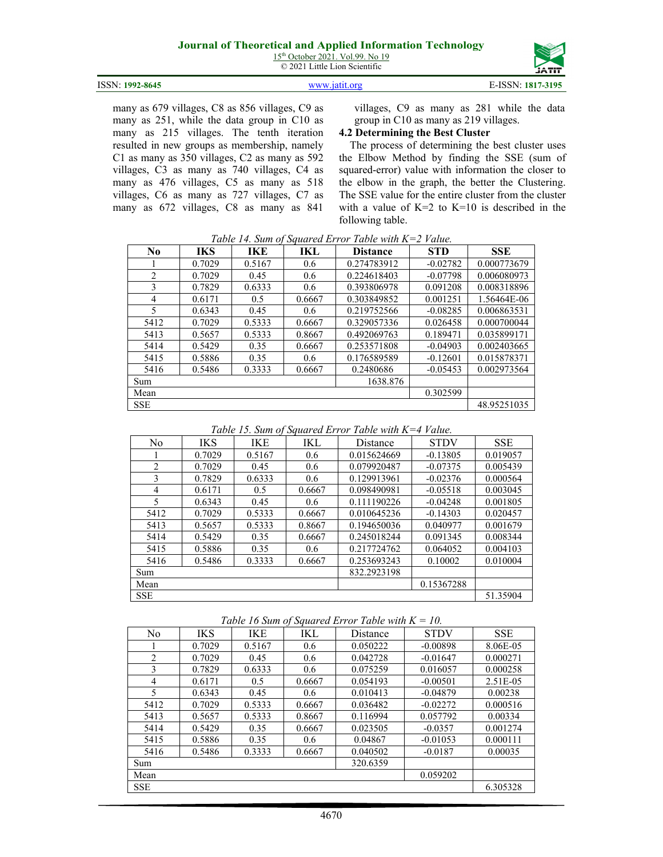15<sup>th</sup> October 2021. Vol.99. No 19 © 2021 Little Lion Scientific



#### ISSN: **1992-8645** [www.jatit.org](http://www.jatit.org/) E-ISSN: **1817-3195**

many as 679 villages, C8 as 856 villages, C9 as many as 251, while the data group in C10 as many as 215 villages. The tenth iteration resulted in new groups as membership, namely C1 as many as 350 villages, C2 as many as 592 villages, C3 as many as 740 villages, C4 as many as 476 villages, C5 as many as 518 villages, C6 as many as 727 villages, C7 as many as 672 villages, C8 as many as 841

villages, C9 as many as 281 while the data group in C10 as many as 219 villages.

#### **4.2 Determining the Best Cluster**

The process of determining the best cluster uses the Elbow Method by finding the SSE (sum of squared-error) value with information the closer to the elbow in the graph, the better the Clustering. The SSE value for the entire cluster from the cluster with a value of  $K=2$  to  $K=10$  is described in the following table.

| No.                      | <b>IKS</b> | IKE    | IKL    | Tuble 14. Sum of Squared Error Tuble with $K=2$ rathe.<br><b>Distance</b> | <b>STD</b> | <b>SSE</b>  |
|--------------------------|------------|--------|--------|---------------------------------------------------------------------------|------------|-------------|
|                          |            |        |        |                                                                           |            |             |
|                          | 0.7029     | 0.5167 | 0.6    | 0.274783912                                                               | $-0.02782$ | 0.000773679 |
| 2                        | 0.7029     | 0.45   | 0.6    | 0.224618403                                                               | $-0.07798$ | 0.006080973 |
| 3                        | 0.7829     | 0.6333 | 0.6    | 0.393806978                                                               | 0.091208   | 0.008318896 |
| 4                        | 0.6171     | 0.5    | 0.6667 | 0.303849852                                                               | 0.001251   | 1.56464E-06 |
| $\overline{\phantom{1}}$ | 0.6343     | 0.45   | 0.6    | 0.219752566                                                               | $-0.08285$ | 0.006863531 |
| 5412                     | 0.7029     | 0.5333 | 0.6667 | 0.329057336                                                               | 0.026458   | 0.000700044 |
| 5413                     | 0.5657     | 0.5333 | 0.8667 | 0.492069763                                                               | 0.189471   | 0.035899171 |
| 5414                     | 0.5429     | 0.35   | 0.6667 | 0.253571808                                                               | $-0.04903$ | 0.002403665 |
| 5415                     | 0.5886     | 0.35   | 0.6    | 0.176589589                                                               | $-0.12601$ | 0.015878371 |
| 5416                     | 0.5486     | 0.3333 | 0.6667 | 0.2480686                                                                 | $-0.05453$ | 0.002973564 |
| Sum                      |            |        |        | 1638.876                                                                  |            |             |
| Mean                     |            |        |        |                                                                           | 0.302599   |             |
| <b>SSE</b>               |            |        |        |                                                                           |            | 48.95251035 |

*Table 14. Sum of Squared Error Table with K=2 Value.*

*Table 15. Sum of Squared Error Table with K=4 Value.*

| No         | IKS    | IKE    | IKL    | Distance    | <b>STDV</b> | <b>SSE</b> |
|------------|--------|--------|--------|-------------|-------------|------------|
|            | 0.7029 | 0.5167 | 0.6    | 0.015624669 | $-0.13805$  | 0.019057   |
| 2          | 0.7029 | 0.45   | 0.6    | 0.079920487 | $-0.07375$  | 0.005439   |
| 3          | 0.7829 | 0.6333 | 0.6    | 0.129913961 | $-0.02376$  | 0.000564   |
| 4          | 0.6171 | 0.5    | 0.6667 | 0.098490981 | $-0.05518$  | 0.003045   |
| 5          | 0.6343 | 0.45   | 0.6    | 0.111190226 | $-0.04248$  | 0.001805   |
| 5412       | 0.7029 | 0.5333 | 0.6667 | 0.010645236 | $-0.14303$  | 0.020457   |
| 5413       | 0.5657 | 0.5333 | 0.8667 | 0.194650036 | 0.040977    | 0.001679   |
| 5414       | 0.5429 | 0.35   | 0.6667 | 0.245018244 | 0.091345    | 0.008344   |
| 5415       | 0.5886 | 0.35   | 0.6    | 0.217724762 | 0.064052    | 0.004103   |
| 5416       | 0.5486 | 0.3333 | 0.6667 | 0.253693243 | 0.10002     | 0.010004   |
| Sum        |        |        |        | 832.2923198 |             |            |
| Mean       |        |        |        |             | 0.15367288  |            |
| <b>SSE</b> |        |        |        |             |             | 51.35904   |

| Table 16 Sum of Squared Error Table with $K = 10$ . |  |  |  |  |  |  |  |  |
|-----------------------------------------------------|--|--|--|--|--|--|--|--|
|-----------------------------------------------------|--|--|--|--|--|--|--|--|

|                          |            |        |        | $\omega$ quarente en 1917 - Labelo III eta $\pm$ | $\ddotsc$   |            |
|--------------------------|------------|--------|--------|--------------------------------------------------|-------------|------------|
| No                       | <b>IKS</b> | IKE    | IKL    | Distance                                         | <b>STDV</b> | <b>SSE</b> |
|                          | 0.7029     | 0.5167 | 0.6    | 0.050222                                         | $-0.00898$  | 8.06E-05   |
| 2                        | 0.7029     | 0.45   | 0.6    | 0.042728                                         | $-0.01647$  | 0.000271   |
| 3                        | 0.7829     | 0.6333 | 0.6    | 0.075259                                         | 0.016057    | 0.000258   |
| 4                        | 0.6171     | 0.5    | 0.6667 | 0.054193                                         | $-0.00501$  | 2.51E-05   |
| $\overline{\mathcal{L}}$ | 0.6343     | 0.45   | 0.6    | 0.010413                                         | $-0.04879$  | 0.00238    |
| 5412                     | 0.7029     | 0.5333 | 0.6667 | 0.036482                                         | $-0.02272$  | 0.000516   |
| 5413                     | 0.5657     | 0.5333 | 0.8667 | 0.116994                                         | 0.057792    | 0.00334    |
| 5414                     | 0.5429     | 0.35   | 0.6667 | 0.023505                                         | $-0.0357$   | 0.001274   |
| 5415                     | 0.5886     | 0.35   | 0.6    | 0.04867                                          | $-0.01053$  | 0.000111   |
| 5416                     | 0.5486     | 0.3333 | 0.6667 | 0.040502                                         | $-0.0187$   | 0.00035    |
| Sum                      |            |        |        | 320.6359                                         |             |            |
| Mean                     |            |        |        |                                                  | 0.059202    |            |
| SSE                      |            |        |        |                                                  |             | 6.305328   |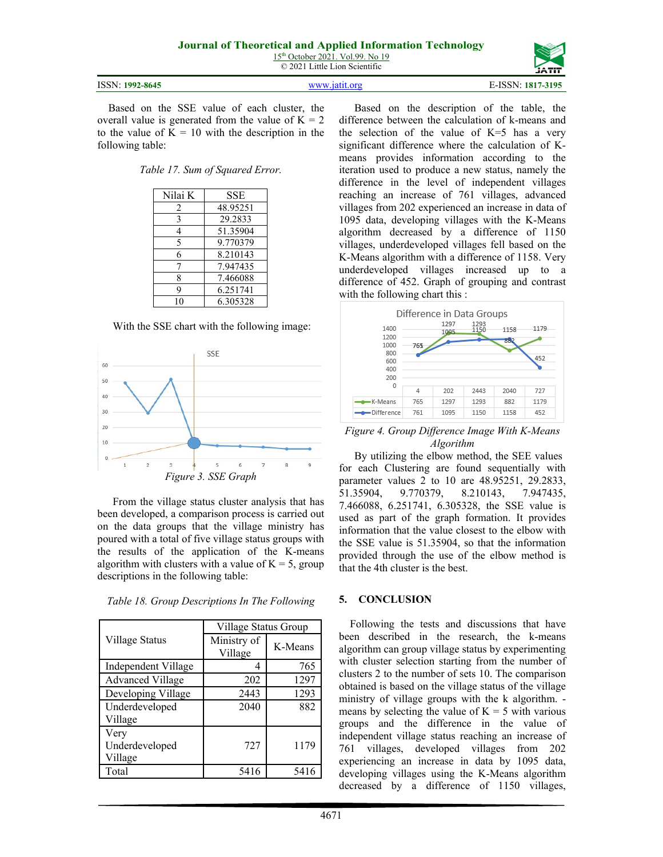|                 |               | ------            |
|-----------------|---------------|-------------------|
| ISSN: 1992-8645 | www.19tit.org | E-ISSN: 1817-3195 |
|                 |               |                   |

Based on the SSE value of each cluster, the overall value is generated from the value of  $K = 2$ to the value of  $K = 10$  with the description in the following table:

*Table 17. Sum of Squared Error.*

| Nilai K | SSE      |
|---------|----------|
| 2       | 48.95251 |
| 3       | 29.2833  |
| 4       | 51.35904 |
| 5       | 9.770379 |
| 6       | 8.210143 |
|         | 7.947435 |
| 8       | 7.466088 |
| q       | 6.251741 |
|         | 6.305328 |

With the SSE chart with the following image:



From the village status cluster analysis that has been developed, a comparison process is carried out on the data groups that the village ministry has poured with a total of five village status groups with the results of the application of the K-means algorithm with clusters with a value of  $K = 5$ , group descriptions in the following table:

|                         | Village Status Group   |         |  |  |
|-------------------------|------------------------|---------|--|--|
| Village Status          | Ministry of<br>Village | K-Means |  |  |
| Independent Village     |                        | 765     |  |  |
| <b>Advanced Village</b> | 202                    | 1297    |  |  |
| Developing Village      | 2443                   | 1293    |  |  |
| Underdeveloped          | 2040                   | 882     |  |  |
| Village                 |                        |         |  |  |
| Very                    |                        |         |  |  |
| Underdeveloped          | 727                    | 1179    |  |  |
| Village                 |                        |         |  |  |
| Total                   | 5416                   | 5416    |  |  |

*Table 18. Group Descriptions In The Following*

Based on the description of the table, the difference between the calculation of k-means and the selection of the value of  $K=5$  has a very significant difference where the calculation of Kmeans provides information according to the iteration used to produce a new status, namely the difference in the level of independent villages reaching an increase of 761 villages, advanced villages from 202 experienced an increase in data of 1095 data, developing villages with the K-Means algorithm decreased by a difference of 1150 villages, underdeveloped villages fell based on the K-Means algorithm with a difference of 1158. Very underdeveloped villages increased up to a difference of 452. Graph of grouping and contrast with the following chart this :



*Figure 4. Group Difference Image With K-Means Algorithm*

By utilizing the elbow method, the SEE values for each Clustering are found sequentially with parameter values 2 to 10 are 48.95251, 29.2833, 51.35904, 9.770379, 8.210143, 7.947435, 7.466088, 6.251741, 6.305328, the SSE value is used as part of the graph formation. It provides information that the value closest to the elbow with the SSE value is 51.35904, so that the information provided through the use of the elbow method is that the 4th cluster is the best.

#### **5. CONCLUSION**

Following the tests and discussions that have been described in the research, the k-means algorithm can group village status by experimenting with cluster selection starting from the number of clusters 2 to the number of sets 10. The comparison obtained is based on the village status of the village ministry of village groups with the k algorithm. means by selecting the value of  $K = 5$  with various groups and the difference in the value of independent village status reaching an increase of 761 villages, developed villages from 202 experiencing an increase in data by 1095 data, developing villages using the K-Means algorithm decreased by a difference of 1150 villages,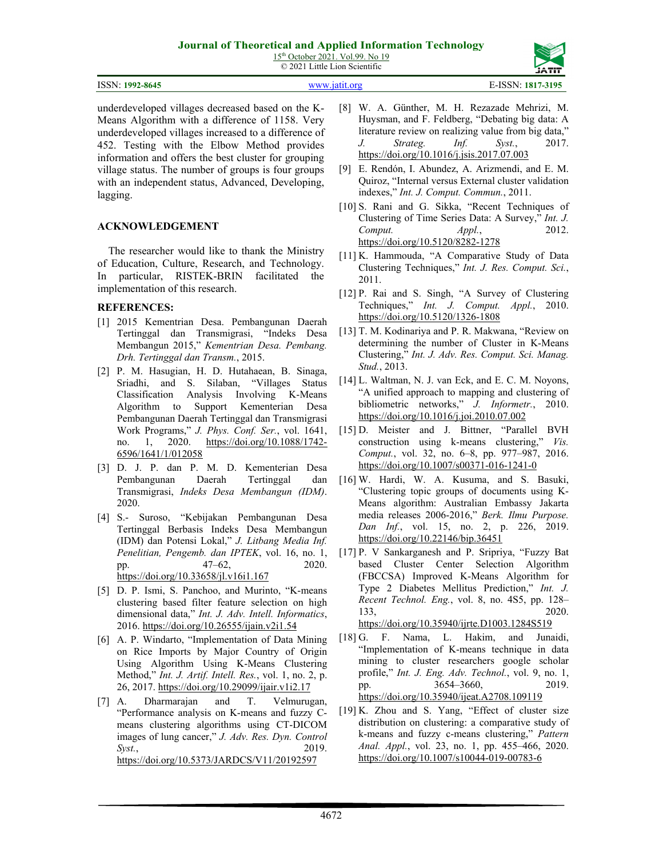|  | 15 <sup>th</sup> October 2021. Vol.99. No 19 |  |  |
|--|----------------------------------------------|--|--|
|  | © 2021 Little Lion Scientific                |  |  |

| ISSN: 1992-8645<br>www.jatit.org | E-ISSN: 1817-3195 |
|----------------------------------|-------------------|
|----------------------------------|-------------------|

underdeveloped villages decreased based on the K-Means Algorithm with a difference of 1158. Very underdeveloped villages increased to a difference of 452. Testing with the Elbow Method provides information and offers the best cluster for grouping village status. The number of groups is four groups with an independent status, Advanced, Developing, lagging.

# **ACKNOWLEDGEMENT**

The researcher would like to thank the Ministry of Education, Culture, Research, and Technology. In particular, RISTEK-BRIN facilitated the implementation of this research.

### **REFERENCES:**

- [1] 2015 Kementrian Desa. Pembangunan Daerah Tertinggal dan Transmigrasi, "Indeks Desa Membangun 2015," *Kementrian Desa. Pembang. Drh. Tertinggal dan Transm.*, 2015.
- [2] P. M. Hasugian, H. D. Hutahaean, B. Sinaga, Sriadhi, and S. Silaban, "Villages Status Classification Analysis Involving K-Means Algorithm to Support Kementerian Desa Pembangunan Daerah Tertinggal dan Transmigrasi Work Programs," *J. Phys. Conf. Ser.*, vol. 1641, no. 1, 2020. [https://doi.org/10.1088/1742-](https://doi.org/10.1088/1742-6596/1641/1/012058) [6596/1641/1/012058](https://doi.org/10.1088/1742-6596/1641/1/012058)
- [3] D. J. P. dan P. M. D. Kementerian Desa Pembangunan Daerah Tertinggal dan Transmigrasi, *Indeks Desa Membangun (IDM)*. 2020.
- [4] S.- Suroso, "Kebijakan Pembangunan Desa Tertinggal Berbasis Indeks Desa Membangun (IDM) dan Potensi Lokal," *J. Litbang Media Inf. Penelitian, Pengemb. dan IPTEK*, vol. 16, no. 1, pp. 47–62, 2020. <https://doi.org/10.33658/jl.v16i1.167>
- [5] D. P. Ismi, S. Panchoo, and Murinto, "K-means clustering based filter feature selection on high dimensional data," *Int. J. Adv. Intell. Informatics*, 2016.<https://doi.org/10.26555/ijain.v2i1.54>
- [6] A. P. Windarto, "Implementation of Data Mining on Rice Imports by Major Country of Origin Using Algorithm Using K-Means Clustering Method," *Int. J. Artif. Intell. Res.*, vol. 1, no. 2, p. 26, 2017.<https://doi.org/10.29099/ijair.v1i2.17>
- [7] A. Dharmarajan and T. Velmurugan, "Performance analysis on K-means and fuzzy Cmeans clustering algorithms using CT-DICOM images of lung cancer," *J. Adv. Res. Dyn. Control Syst.*, 2019. <https://doi.org/10.5373/JARDCS/V11/20192597>
- [8] W. A. Günther, M. H. Rezazade Mehrizi, M. Huysman, and F. Feldberg, "Debating big data: A literature review on realizing value from big data," *J. Strateg. Inf. Syst.*, 2017. <https://doi.org/10.1016/j.jsis.2017.07.003>
- [9] E. Rendón, I. Abundez, A. Arizmendi, and E. M. Quiroz, "Internal versus External cluster validation indexes," *Int. J. Comput. Commun.*, 2011.
- [10] S. Rani and G. Sikka, "Recent Techniques of Clustering of Time Series Data: A Survey," *Int. J. Comput. Appl.*, 2012. <https://doi.org/10.5120/8282-1278>
- [11] K. Hammouda, "A Comparative Study of Data Clustering Techniques," *Int. J. Res. Comput. Sci.*, 2011.
- [12] P. Rai and S. Singh, "A Survey of Clustering Techniques," *Int. J. Comput. Appl.*, 2010. <https://doi.org/10.5120/1326-1808>
- [13] T. M. Kodinariya and P. R. Makwana, "Review on determining the number of Cluster in K-Means Clustering," *Int. J. Adv. Res. Comput. Sci. Manag. Stud.*, 2013.
- [14] L. Waltman, N. J. van Eck, and E. C. M. Noyons, "A unified approach to mapping and clustering of bibliometric networks," *J. Informetr.*, 2010. <https://doi.org/10.1016/j.joi.2010.07.002>
- [15] D. Meister and J. Bittner, "Parallel BVH construction using k-means clustering," *Vis. Comput.*, vol. 32, no. 6–8, pp. 977–987, 2016. <https://doi.org/10.1007/s00371-016-1241-0>
- [16] W. Hardi, W. A. Kusuma, and S. Basuki, "Clustering topic groups of documents using K-Means algorithm: Australian Embassy Jakarta media releases 2006-2016," *Berk. Ilmu Purpose. Dan Inf.*, vol. 15, no. 2, p. 226, 2019. <https://doi.org/10.22146/bip.36451>
- [17] P. V Sankarganesh and P. Sripriya, "Fuzzy Bat based Cluster Center Selection Algorithm (FBCCSA) Improved K-Means Algorithm for Type 2 Diabetes Mellitus Prediction," *Int. J. Recent Technol. Eng.*, vol. 8, no. 4S5, pp. 128– 133, 2020. <https://doi.org/10.35940/ijrte.D1003.1284S519>
- [18] G. F. Nama, L. Hakim, and Junaidi, "Implementation of K-means technique in data mining to cluster researchers google scholar profile," *Int. J. Eng. Adv. Technol.*, vol. 9, no. 1, pp. 3654–3660, 2019. <https://doi.org/10.35940/ijeat.A2708.109119>
- [19] K. Zhou and S. Yang, "Effect of cluster size distribution on clustering: a comparative study of k-means and fuzzy c-means clustering," *Pattern Anal. Appl.*, vol. 23, no. 1, pp. 455–466, 2020. <https://doi.org/10.1007/s10044-019-00783-6>